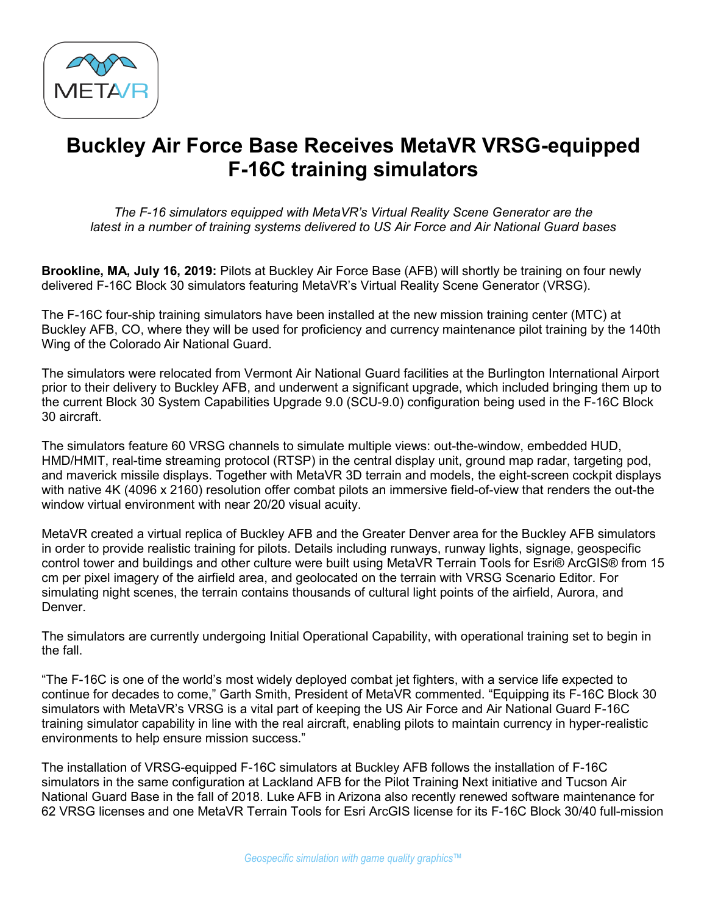

## **Buckley Air Force Base Receives MetaVR VRSG-equipped F-16C training simulators**

*The F-16 simulators equipped with MetaVR's Virtual Reality Scene Generator are the latest in a number of training systems delivered to US Air Force and Air National Guard bases*

**Brookline, MA, July 16, 2019:** Pilots at Buckley Air Force Base (AFB) will shortly be training on four newly delivered F-16C Block 30 simulators featuring MetaVR's Virtual Reality Scene Generator (VRSG).

The F-16C four-ship training simulators have been installed at the new mission training center (MTC) at Buckley AFB, CO, where they will be used for proficiency and currency maintenance pilot training by the 140th Wing of the Colorado Air National Guard.

The simulators were relocated from Vermont Air National Guard facilities at the Burlington International Airport prior to their delivery to Buckley AFB, and underwent a significant upgrade, which included bringing them up to the current Block 30 System Capabilities Upgrade 9.0 (SCU-9.0) configuration being used in the F-16C Block 30 aircraft.

The simulators feature 60 VRSG channels to simulate multiple views: out-the-window, embedded HUD, HMD/HMIT, real-time streaming protocol (RTSP) in the central display unit, ground map radar, targeting pod, and maverick missile displays. Together with MetaVR 3D terrain and models, the eight-screen cockpit displays with native 4K (4096 x 2160) resolution offer combat pilots an immersive field-of-view that renders the out-the window virtual environment with near 20/20 visual acuity.

MetaVR created a virtual replica of Buckley AFB and the Greater Denver area for the Buckley AFB simulators in order to provide realistic training for pilots. Details including runways, runway lights, signage, geospecific control tower and buildings and other culture were built using MetaVR Terrain Tools for Esri® ArcGIS® from 15 cm per pixel imagery of the airfield area, and geolocated on the terrain with VRSG Scenario Editor. For simulating night scenes, the terrain contains thousands of cultural light points of the airfield, Aurora, and Denver.

The simulators are currently undergoing Initial Operational Capability, with operational training set to begin in the fall.

"The F-16C is one of the world's most widely deployed combat jet fighters, with a service life expected to continue for decades to come," Garth Smith, President of MetaVR commented. "Equipping its F-16C Block 30 simulators with MetaVR's VRSG is a vital part of keeping the US Air Force and Air National Guard F-16C training simulator capability in line with the real aircraft, enabling pilots to maintain currency in hyper-realistic environments to help ensure mission success."

The installation of VRSG-equipped F-16C simulators at Buckley AFB follows the installation of F-16C simulators in the same configuration at Lackland AFB for the Pilot Training Next initiative and Tucson Air National Guard Base in the fall of 2018. Luke AFB in Arizona also recently renewed software maintenance for 62 VRSG licenses and one MetaVR Terrain Tools for Esri ArcGIS license for its F-16C Block 30/40 full-mission